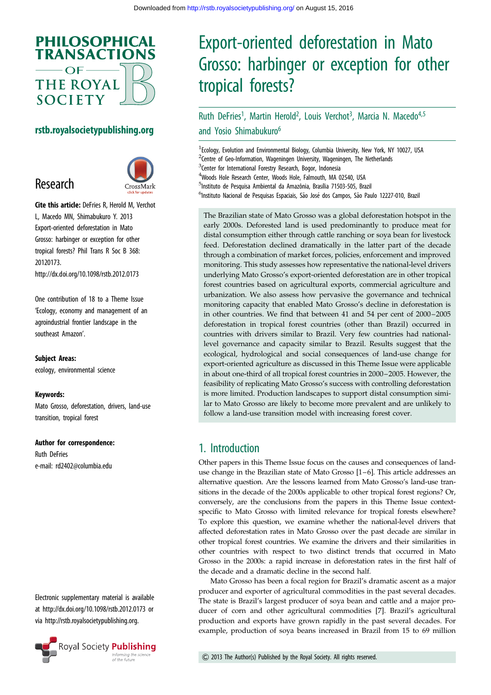

#### rstb.royalsocietypublishing.org

## Research



Cite this article: DeFries R, Herold M, Verchot L, Macedo MN, Shimabukuro Y. 2013 Export-oriented deforestation in Mato Grosso: harbinger or exception for other tropical forests? Phil Trans R Soc B 368: 20120173. http://dx.doi.org/10.1098/rstb.2012.0173

One contribution of 18 to a Theme Issue 'Ecology, economy and management of an agroindustrial frontier landscape in the southeast Amazon'.

Subject Areas:

ecology, environmental science

#### Keywords:

Mato Grosso, deforestation, drivers, land-use transition, tropical forest

#### Author for correspondence:

Ruth DeFries e-mail: [rd2402@columbia.edu](mailto:rd2402@columbia.edu)

Electronic supplementary material is available at<http://dx.doi.org/10.1098/rstb.2012.0173> or via [http://rstb.royalsocietypublishing.org.](http://rstb.royalsocietypublishing.org)



# Export-oriented deforestation in Mato Grosso: harbinger or exception for other tropical forests?

## Ruth DeFries<sup>1</sup>, Martin Herold<sup>2</sup>, Louis Verchot<sup>3</sup>, Marcia N. Macedo<sup>4,5</sup> and Yosio Shimabukuro<sup>6</sup>

<sup>1</sup> Ecology, Evolution and Environmental Biology, Columbia University, New York, NY 10027, USA <sup>2</sup>Centre of Geo-Information, Wageningen University, Wageningen, The Netherlands <sup>3</sup> Center for International Forestry Research, Bogor, Indonesia 4 Woods Hole Research Center, Woods Hole, Falmouth, MA 02540, USA <sup>5</sup>Instituto de Pesquisa Ambiental da Amazônia, Brasília 71503-505, Brazil <sup>6</sup>Instituto Nacional de Pesquisas Espaciais, São José dos Campos, São Paulo 12227-010, Brazil

The Brazilian state of Mato Grosso was a global deforestation hotspot in the early 2000s. Deforested land is used predominantly to produce meat for distal consumption either through cattle ranching or soya bean for livestock feed. Deforestation declined dramatically in the latter part of the decade through a combination of market forces, policies, enforcement and improved monitoring. This study assesses how representative the national-level drivers underlying Mato Grosso's export-oriented deforestation are in other tropical forest countries based on agricultural exports, commercial agriculture and urbanization. We also assess how pervasive the governance and technical monitoring capacity that enabled Mato Grosso's decline in deforestation is in other countries. We find that between 41 and 54 per cent of 2000 –2005 deforestation in tropical forest countries (other than Brazil) occurred in countries with drivers similar to Brazil. Very few countries had nationallevel governance and capacity similar to Brazil. Results suggest that the ecological, hydrological and social consequences of land-use change for export-oriented agriculture as discussed in this Theme Issue were applicable in about one-third of all tropical forest countries in 2000–2005. However, the feasibility of replicating Mato Grosso's success with controlling deforestation is more limited. Production landscapes to support distal consumption similar to Mato Grosso are likely to become more prevalent and are unlikely to follow a land-use transition model with increasing forest cover.

#### 1. Introduction

Other papers in this Theme Issue focus on the causes and consequences of landuse change in the Brazilian state of Mato Grosso [[1](#page-6-0)–[6\]](#page-6-0). This article addresses an alternative question. Are the lessons learned from Mato Grosso's land-use transitions in the decade of the 2000s applicable to other tropical forest regions? Or, conversely, are the conclusions from the papers in this Theme Issue contextspecific to Mato Grosso with limited relevance for tropical forests elsewhere? To explore this question, we examine whether the national-level drivers that affected deforestation rates in Mato Grosso over the past decade are similar in other tropical forest countries. We examine the drivers and their similarities in other countries with respect to two distinct trends that occurred in Mato Grosso in the 2000s: a rapid increase in deforestation rates in the first half of the decade and a dramatic decline in the second half.

Mato Grosso has been a focal region for Brazil's dramatic ascent as a major producer and exporter of agricultural commodities in the past several decades. The state is Brazil's largest producer of soya bean and cattle and a major producer of corn and other agricultural commodities [\[7\]](#page-6-0). Brazil's agricultural production and exports have grown rapidly in the past several decades. For example, production of soya beans increased in Brazil from 15 to 69 million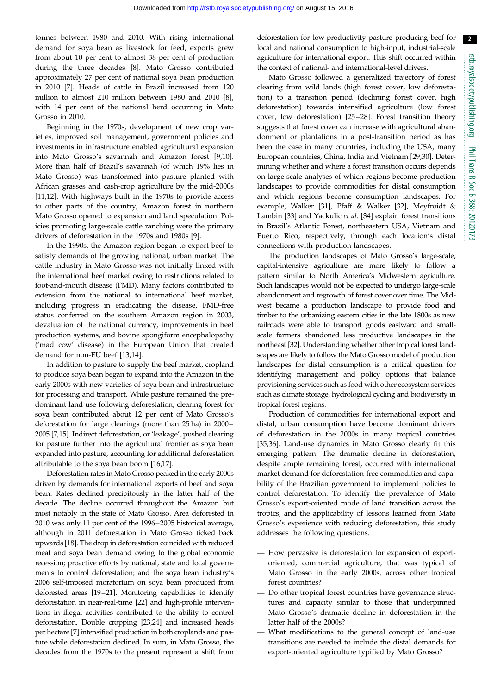$\sqrt{2}$ 

tonnes between 1980 and 2010. With rising international demand for soya bean as livestock for feed, exports grew from about 10 per cent to almost 38 per cent of production during the three decades [\[8\]](#page-6-0). Mato Grosso contributed approximately 27 per cent of national soya bean production in 2010 [[7](#page-6-0)]. Heads of cattle in Brazil increased from 120 million to almost 210 million between 1980 and 2010 [[8](#page-6-0)], with 14 per cent of the national herd occurring in Mato Grosso in 2010.

Beginning in the 1970s, development of new crop varieties, improved soil management, government policies and investments in infrastructure enabled agricultural expansion into Mato Grosso's savannah and Amazon forest [[9,10](#page-6-0)]. More than half of Brazil's savannah (of which 19% lies in Mato Grosso) was transformed into pasture planted with African grasses and cash-crop agriculture by the mid-2000s [\[11](#page-6-0),[12\]](#page-6-0). With highways built in the 1970s to provide access to other parts of the country, Amazon forest in northern Mato Grosso opened to expansion and land speculation. Policies promoting large-scale cattle ranching were the primary drivers of deforestation in the 1970s and 1980s [[9](#page-6-0)].

In the 1990s, the Amazon region began to export beef to satisfy demands of the growing national, urban market. The cattle industry in Mato Grosso was not initially linked with the international beef market owing to restrictions related to foot-and-mouth disease (FMD). Many factors contributed to extension from the national to international beef market, including progress in eradicating the disease, FMD-free status conferred on the southern Amazon region in 2003, devaluation of the national currency, improvements in beef production systems, and bovine spongiform encephalopathy ('mad cow' disease) in the European Union that created demand for non-EU beef [[13,14](#page-6-0)].

In addition to pasture to supply the beef market, cropland to produce soya bean began to expand into the Amazon in the early 2000s with new varieties of soya bean and infrastructure for processing and transport. While pasture remained the predominant land use following deforestation, clearing forest for soya bean contributed about 12 per cent of Mato Grosso's deforestation for large clearings (more than 25 ha) in 2000– 2005 [\[7](#page-6-0),[15](#page-6-0)]. Indirect deforestation, or 'leakage', pushed clearing for pasture further into the agricultural frontier as soya bean expanded into pasture, accounting for additional deforestation attributable to the soya bean boom [[16](#page-6-0),[17](#page-6-0)].

Deforestation rates in Mato Grosso peaked in the early 2000s driven by demands for international exports of beef and soya bean. Rates declined precipitously in the latter half of the decade. The decline occurred throughout the Amazon but most notably in the state of Mato Grosso. Area deforested in 2010 was only 11 per cent of the 1996–2005 historical average, although in 2011 deforestation in Mato Grosso ticked back upwards [\[18](#page-7-0)]. The drop in deforestation coincided with reduced meat and soya bean demand owing to the global economic recession; proactive efforts by national, state and local governments to control deforestation; and the soya bean industry's 2006 self-imposed moratorium on soya bean produced from deforested areas [[19](#page-7-0)–[21](#page-7-0)]. Monitoring capabilities to identify deforestation in near-real-time [[22\]](#page-7-0) and high-profile interventions in illegal activities contributed to the ability to control deforestation. Double cropping [[23,24](#page-7-0)] and increased heads per hectare [[7](#page-6-0)] intensified production in both croplands and pasture while deforestation declined. In sum, in Mato Grosso, the decades from the 1970s to the present represent a shift from deforestation for low-productivity pasture producing beef for local and national consumption to high-input, industrial-scale agriculture for international export. This shift occurred within the context of national- and international-level drivers.

Mato Grosso followed a generalized trajectory of forest clearing from wild lands (high forest cover, low deforestation) to a transition period (declining forest cover, high deforestation) towards intensified agriculture (low forest cover, low deforestation) [[25](#page-7-0)–[28\]](#page-7-0). Forest transition theory suggests that forest cover can increase with agricultural abandonment or plantations in a post-transition period as has been the case in many countries, including the USA, many European countries, China, India and Vietnam [\[29](#page-7-0),[30\]](#page-7-0). Determining whether and where a forest transition occurs depends on large-scale analyses of which regions become production landscapes to provide commodities for distal consumption and which regions become consumption landscapes. For example, Walker [\[31](#page-7-0)], Pfaff & Walker [\[32](#page-7-0)], Meyfroidt & Lambin [\[33](#page-7-0)] and Yackulic et al. [[34\]](#page-7-0) explain forest transitions in Brazil's Atlantic Forest, northeastern USA, Vietnam and Puerto Rico, respectively, through each location's distal connections with production landscapes.

The production landscapes of Mato Grosso's large-scale, capital-intensive agriculture are more likely to follow a pattern similar to North America's Midwestern agriculture. Such landscapes would not be expected to undergo large-scale abandonment and regrowth of forest cover over time. The Midwest became a production landscape to provide food and timber to the urbanizing eastern cities in the late 1800s as new railroads were able to transport goods eastward and smallscale farmers abandoned less productive landscapes in the northeast [\[32\]](#page-7-0). Understanding whether other tropical forest landscapes are likely to follow the Mato Grosso model of production landscapes for distal consumption is a critical question for identifying management and policy options that balance provisioning services such as food with other ecosystem services such as climate storage, hydrological cycling and biodiversity in tropical forest regions.

Production of commodities for international export and distal, urban consumption have become dominant drivers of deforestation in the 2000s in many tropical countries [[35,36\]](#page-7-0). Land-use dynamics in Mato Grosso clearly fit this emerging pattern. The dramatic decline in deforestation, despite ample remaining forest, occurred with international market demand for deforestation-free commodities and capability of the Brazilian government to implement policies to control deforestation. To identify the prevalence of Mato Grosso's export-oriented mode of land transition across the tropics, and the applicability of lessons learned from Mato Grosso's experience with reducing deforestation, this study addresses the following questions.

- How pervasive is deforestation for expansion of exportoriented, commercial agriculture, that was typical of Mato Grosso in the early 2000s, across other tropical forest countries?
- Do other tropical forest countries have governance structures and capacity similar to those that underpinned Mato Grosso's dramatic decline in deforestation in the latter half of the 2000s?
- What modifications to the general concept of land-use transitions are needed to include the distal demands for export-oriented agriculture typified by Mato Grosso?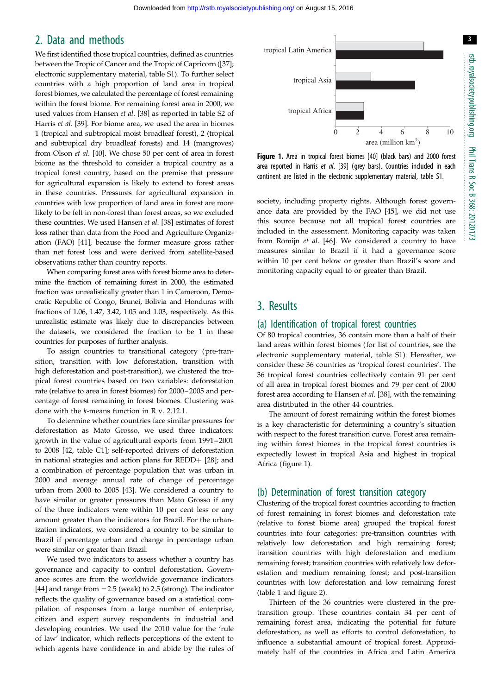#### 2. Data and methods

We first identified those tropical countries, defined as countries between the Tropic of Cancer and the Tropic of Capricorn ([\[37](#page-7-0)]; electronic supplementary material, table S1). To further select countries with a high proportion of land area in tropical forest biomes, we calculated the percentage of forest remaining within the forest biome. For remaining forest area in 2000, we used values from Hansen et al. [[38\]](#page-7-0) as reported in table S2 of Harris et al. [[39\]](#page-7-0). For biome area, we used the area in biomes 1 (tropical and subtropical moist broadleaf forest), 2 (tropical and subtropical dry broadleaf forests) and 14 (mangroves) from Olson et al. [\[40](#page-7-0)]. We chose 50 per cent of area in forest biome as the threshold to consider a tropical country as a tropical forest country, based on the premise that pressure for agricultural expansion is likely to extend to forest areas in these countries. Pressures for agricultural expansion in countries with low proportion of land area in forest are more likely to be felt in non-forest than forest areas, so we excluded these countries. We used Hansen et al. [\[38](#page-7-0)] estimates of forest loss rather than data from the Food and Agriculture Organization (FAO) [[41](#page-7-0)], because the former measure gross rather than net forest loss and were derived from satellite-based observations rather than country reports.

When comparing forest area with forest biome area to determine the fraction of remaining forest in 2000, the estimated fraction was unrealistically greater than 1 in Cameroon, Democratic Republic of Congo, Brunei, Bolivia and Honduras with fractions of 1.06, 1.47, 3.42, 1.05 and 1.03, respectively. As this unrealistic estimate was likely due to discrepancies between the datasets, we considered the fraction to be 1 in these countries for purposes of further analysis.

To assign countries to transitional category (pre-transition, transition with low deforestation, transition with high deforestation and post-transition), we clustered the tropical forest countries based on two variables: deforestation rate (relative to area in forest biomes) for 2000–2005 and percentage of forest remaining in forest biomes. Clustering was done with the k-means function in R v. 2.12.1.

To determine whether countries face similar pressures for deforestation as Mato Grosso, we used three indicators: growth in the value of agricultural exports from 1991– 2001 to 2008 [[42](#page-7-0), table C1]; self-reported drivers of deforestation in national strategies and action plans for  $REDD+ [28]$  $REDD+ [28]$  $REDD+ [28]$ ; and a combination of percentage population that was urban in 2000 and average annual rate of change of percentage urban from 2000 to 2005 [\[43](#page-7-0)]. We considered a country to have similar or greater pressures than Mato Grosso if any of the three indicators were within 10 per cent less or any amount greater than the indicators for Brazil. For the urbanization indicators, we considered a country to be similar to Brazil if percentage urban and change in percentage urban were similar or greater than Brazil.

We used two indicators to assess whether a country has governance and capacity to control deforestation. Governance scores are from the worldwide governance indicators [\[44](#page-7-0)] and range from  $-2.5$  (weak) to 2.5 (strong). The indicator reflects the quality of governance based on a statistical compilation of responses from a large number of enterprise, citizen and expert survey respondents in industrial and developing countries. We used the 2010 value for the 'rule of law' indicator, which reflects perceptions of the extent to which agents have confidence in and abide by the rules of



Figure 1. Area in tropical forest biomes [\[40\]](#page-7-0) (black bars) and 2000 forest area reported in Harris et al. [[39](#page-7-0)] (grey bars). Countries included in each continent are listed in the electronic supplementary material, table S1.

society, including property rights. Although forest governance data are provided by the FAO [\[45](#page-7-0)], we did not use this source because not all tropical forest countries are included in the assessment. Monitoring capacity was taken from Romijn et al. [[46\]](#page-7-0). We considered a country to have measures similar to Brazil if it had a governance score within 10 per cent below or greater than Brazil's score and monitoring capacity equal to or greater than Brazil.

### 3. Results

#### (a) Identification of tropical forest countries

Of 80 tropical countries, 36 contain more than a half of their land areas within forest biomes (for list of countries, see the electronic supplementary material, table S1). Hereafter, we consider these 36 countries as 'tropical forest countries'. The 36 tropical forest countries collectively contain 91 per cent of all area in tropical forest biomes and 79 per cent of 2000 forest area according to Hansen et al. [[38\]](#page-7-0), with the remaining area distributed in the other 44 countries.

The amount of forest remaining within the forest biomes is a key characteristic for determining a country's situation with respect to the forest transition curve. Forest area remaining within forest biomes in the tropical forest countries is expectedly lowest in tropical Asia and highest in tropical Africa (figure 1).

#### (b) Determination of forest transition category

Clustering of the tropical forest countries according to fraction of forest remaining in forest biomes and deforestation rate (relative to forest biome area) grouped the tropical forest countries into four categories: pre-transition countries with relatively low deforestation and high remaining forest; transition countries with high deforestation and medium remaining forest; transition countries with relatively low deforestation and medium remaining forest; and post-transition countries with low deforestation and low remaining forest ([table 1](#page-3-0) and [figure 2\)](#page-3-0).

Thirteen of the 36 countries were clustered in the pretransition group. These countries contain 34 per cent of remaining forest area, indicating the potential for future deforestation, as well as efforts to control deforestation, to influence a substantial amount of tropical forest. Approximately half of the countries in Africa and Latin America

3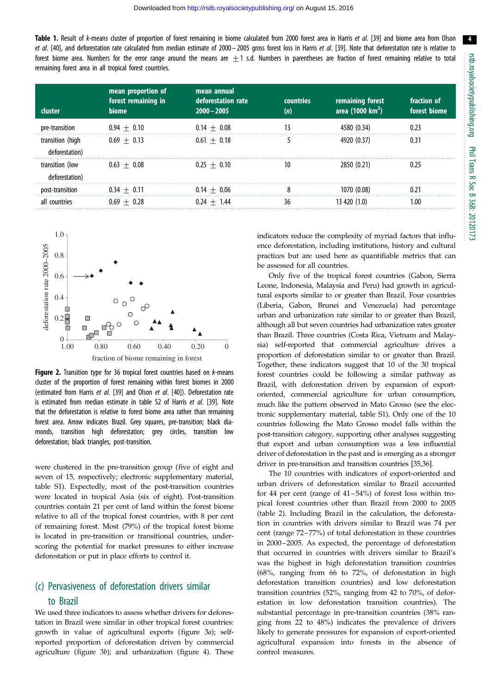4

<span id="page-3-0"></span>Table 1. Result of k-means cluster of proportion of forest remaining in biome calculated from 2000 forest area in Harris et al. [\[39\]](#page-7-0) and biome area from Olson et al. [\[40\]](#page-7-0), and deforestation rate calculated from median estimate of 2000-2005 gross forest loss in Harris et al. [\[39\]](#page-7-0). Note that deforestation rate is relative to forest biome area. Numbers for the error range around the means are  $\pm$ 1 s.d. Numbers in parentheses are fraction of forest remaining relative to total remaining forest area in all tropical forest countries.

| <b>cluster</b>   | mean proportion of<br>forest remaining in<br>biome | mean annual<br>deforestation rate<br>$2000 - 2005$ | countries<br>(n) | remaining forest<br>area (1000 km <sup>2</sup> ) | fraction of<br>forest biome |
|------------------|----------------------------------------------------|----------------------------------------------------|------------------|--------------------------------------------------|-----------------------------|
|                  |                                                    |                                                    |                  |                                                  |                             |
| pre-transition   | $0.94 + 0.10$                                      | $0.14 + 0.08$                                      |                  | 4580 (0.34)                                      | 0.23                        |
| transition (high | $0.69 + 0.13$                                      | $0.61 + 0.18$                                      |                  | 4920 (0.37)                                      | 031                         |
| deforestation)   |                                                    |                                                    |                  |                                                  |                             |
| transition (low  | $0.63 \pm 0.08$                                    | $0.25 + 0.10$                                      | 10               | 2850 (0.21)                                      | 0.25                        |
| deforestation)   |                                                    |                                                    |                  |                                                  |                             |
| post-transition  | $0.34 + 0.11$                                      | $0.14 + 0.06$                                      |                  | 1070 (0.08)                                      |                             |
| all countries    | $0.69 + 0.28$                                      | $0.24 + 1.44$                                      | 36               | 13 420 (1.0)                                     | l.OO                        |



**Figure 2.** Transition type for 36 tropical forest countries based on *k*-means cluster of the proportion of forest remaining within forest biomes in 2000 (estimated from Harris et al. [[39](#page-7-0)] and Olson et al. [[40](#page-7-0)]). Deforestation rate is estimated from median estimate in table S2 of Harris et al. [\[39\]](#page-7-0). Note that the deforestation is relative to forest biome area rather than remaining forest area. Arrow indicates Brazil. Grey squares, pre-transition; black diamonds, transition high deforestation; grey circles, transition low deforestation; black triangles, post-transition.

were clustered in the pre-transition group (five of eight and seven of 15, respectively; electronic supplementary material, table S1). Expectedly, most of the post-transition countries were located in tropical Asia (six of eight). Post-transition countries contain 21 per cent of land within the forest biome relative to all of the tropical forest countries, with 8 per cent of remaining forest. Most (79%) of the tropical forest biome is located in pre-transition or transitional countries, underscoring the potential for market pressures to either increase deforestation or put in place efforts to control it.

#### (c) Pervasiveness of deforestation drivers similar

#### to Brazil

We used three indicators to assess whether drivers for deforestation in Brazil were similar in other tropical forest countries: growth in value of agricultural exports ([figure 3](#page-4-0)a); selfreported proportion of deforestation driven by commercial agriculture ([figure 3](#page-4-0)b); and urbanization ([figure 4\)](#page-4-0). These

indicators reduce the complexity of myriad factors that influence deforestation, including institutions, history and cultural practices but are used here as quantifiable metrics that can be assessed for all countries.

Only five of the tropical forest countries (Gabon, Sierra Leone, Indonesia, Malaysia and Peru) had growth in agricultural exports similar to or greater than Brazil. Four countries (Liberia, Gabon, Brunei and Venezuela) had percentage urban and urbanization rate similar to or greater than Brazil, although all but seven countries had urbanization rates greater than Brazil. Three countries (Costa Rica, Vietnam and Malaysia) self-reported that commercial agriculture drives a proportion of deforestation similar to or greater than Brazil. Together, these indicators suggest that 10 of the 30 tropical forest countries could be following a similar pathway as Brazil, with deforestation driven by expansion of exportoriented, commercial agriculture for urban consumption, much like the pattern observed in Mato Grosso (see the electronic supplementary material, table S1). Only one of the 10 countries following the Mato Grosso model falls within the post-transition category, supporting other analyses suggesting that export and urban consumption was a less influential driver of deforestation in the past and is emerging as a stronger driver in pre-transition and transition countries [\[35,36\]](#page-7-0).

The 10 countries with indicators of export-oriented and urban drivers of deforestation similar to Brazil accounted for 44 per cent (range of 41–54%) of forest loss within tropical forest countries other than Brazil from 2000 to 2005 ([table 2](#page-5-0)). Including Brazil in the calculation, the deforestation in countries with drivers similar to Brazil was 74 per cent (range 72–77%) of total deforestation in these countries in 2000–2005. As expected, the percentage of deforestation that occurred in countries with drivers similar to Brazil's was the highest in high deforestation transition countries (68%, ranging from 66 to 72%, of deforestation in high deforestation transition countries) and low deforestation transition countries (52%, ranging from 42 to 70%, of deforestation in low deforestation transition countries). The substantial percentage in pre-transition countries (38% ranging from 22 to 48%) indicates the prevalence of drivers likely to generate pressures for expansion of export-oriented agricultural expansion into forests in the absence of control measures.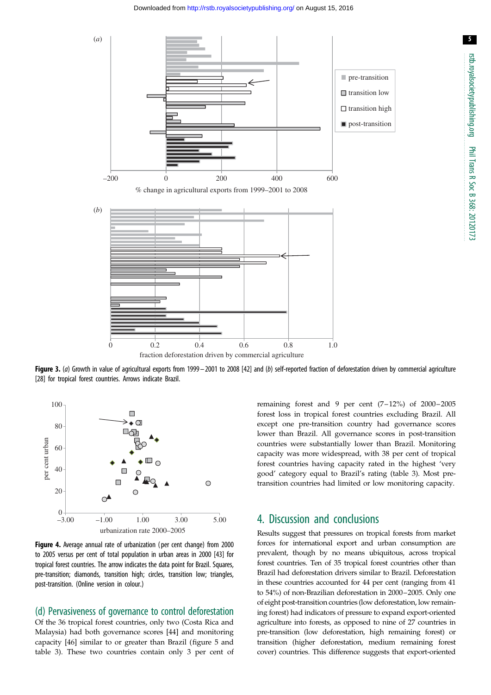<span id="page-4-0"></span>

Figure 3. (a) Growth in value of agricultural exports from 1999 - 2001 to 2008 [\[42\]](#page-7-0) and (b) self-reported fraction of deforestation driven by commercial agriculture [\[28\]](#page-7-0) for tropical forest countries. Arrows indicate Brazil.



Figure 4. Average annual rate of urbanization (per cent change) from 2000 to 2005 versus per cent of total population in urban areas in 2000 [[43](#page-7-0)] for tropical forest countries. The arrow indicates the data point for Brazil. Squares, pre-transition; diamonds, transition high; circles, transition low; triangles, post-transition. (Online version in colour.)

(d) Pervasiveness of governance to control deforestation Of the 36 tropical forest countries, only two (Costa Rica and

Malaysia) had both governance scores [[44\]](#page-7-0) and monitoring capacity [\[46](#page-7-0)] similar to or greater than Brazil ([figure 5](#page-5-0) and [table 3](#page-5-0)). These two countries contain only 3 per cent of remaining forest and 9 per cent  $(7-12\%)$  of  $2000-2005$ forest loss in tropical forest countries excluding Brazil. All except one pre-transition country had governance scores lower than Brazil. All governance scores in post-transition countries were substantially lower than Brazil. Monitoring capacity was more widespread, with 38 per cent of tropical forest countries having capacity rated in the highest 'very good' category equal to Brazil's rating [\(table 3](#page-5-0)). Most pretransition countries had limited or low monitoring capacity.

#### 4. Discussion and conclusions

Results suggest that pressures on tropical forests from market forces for international export and urban consumption are prevalent, though by no means ubiquitous, across tropical forest countries. Ten of 35 tropical forest countries other than Brazil had deforestation drivers similar to Brazil. Deforestation in these countries accounted for 44 per cent (ranging from 41 to 54%) of non-Brazilian deforestation in 2000–2005. Only one of eight post-transition countries (low deforestation, low remaining forest) had indicators of pressure to expand export-oriented agriculture into forests, as opposed to nine of 27 countries in pre-transition (low deforestation, high remaining forest) or transition (higher deforestation, medium remaining forest cover) countries. This difference suggests that export-oriented

5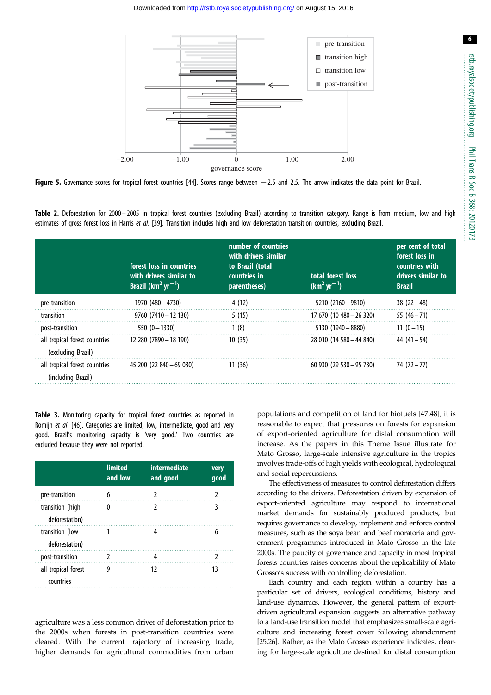6

<span id="page-5-0"></span>

Figure 5. Governance scores for tropical forest countries [\[44\]](#page-7-0). Scores range between  $-2.5$  and 2.5. The arrow indicates the data point for Brazil.

Table 2. Deforestation for 2000–2005 in tropical forest countries (excluding Brazil) according to transition category. Range is from medium, low and high estimates of gross forest loss in Harris et al. [[39](#page-7-0)]. Transition includes high and low deforestation transition countries, excluding Brazil.

|                                                     | forest loss in countries<br>with drivers similar to<br>Brazil $(km^2 yr^{-1})$ | number of countries<br>with drivers similar<br>to Brazil (total<br>countries in<br>parentheses) | total forest loss<br>$(km2 yr-1)$ | per cent of total<br>forest loss in<br>countries with<br>drivers similar to<br><b>Brazil</b> |
|-----------------------------------------------------|--------------------------------------------------------------------------------|-------------------------------------------------------------------------------------------------|-----------------------------------|----------------------------------------------------------------------------------------------|
| pre-transition                                      | 1970 (480 - 4730)                                                              | 4 (12)                                                                                          | $5210(2160 - 9810)$               | $38(22-48)$                                                                                  |
| transition                                          | $9760(7410-12130)$                                                             | 5(15)                                                                                           | 17 670 (10 480 - 26 320)          | $55(46 - 71)$                                                                                |
| post-transition                                     | $550(0 - 1330)$                                                                | 1(8)                                                                                            | $5130(1940-8880)$                 | $11(0-15)$                                                                                   |
| all tropical forest countries<br>(excluding Brazil) | 12 280 (7890 - 18 190)                                                         | 10(35)                                                                                          | 28 010 (14 580 - 44 840)          | $44(41-54)$                                                                                  |
| all tropical forest countries<br>(including Brazil) | 45 200 (22 840 - 69 080)                                                       | 11(36)                                                                                          | $60930(29530 - 95730)$            | 74 (72 – 77)                                                                                 |

Table 3. Monitoring capacity for tropical forest countries as reported in Romijn et al. [\[46\]](#page-7-0). Categories are limited, low, intermediate, good and very good. Brazil's monitoring capacity is 'very good.' Two countries are excluded because they were not reported.

|                                    | <b>limited</b><br>and low | intermediate<br>and good | very<br>good |
|------------------------------------|---------------------------|--------------------------|--------------|
| pre-transition                     |                           |                          |              |
| transition (high<br>deforestation) |                           |                          |              |
| transition (low<br>deforestation)  |                           |                          | h            |
| post-transition                    |                           |                          |              |
| all tropical forest<br>countries   | g                         | 12                       | 13           |

agriculture was a less common driver of deforestation prior to the 2000s when forests in post-transition countries were cleared. With the current trajectory of increasing trade, higher demands for agricultural commodities from urban

populations and competition of land for biofuels [\[47](#page-7-0),[48\]](#page-7-0), it is reasonable to expect that pressures on forests for expansion of export-oriented agriculture for distal consumption will increase. As the papers in this Theme Issue illustrate for Mato Grosso, large-scale intensive agriculture in the tropics involves trade-offs of high yields with ecological, hydrological and social repercussions.

The effectiveness of measures to control deforestation differs according to the drivers. Deforestation driven by expansion of export-oriented agriculture may respond to international market demands for sustainably produced products, but requires governance to develop, implement and enforce control measures, such as the soya bean and beef moratoria and government programmes introduced in Mato Grosso in the late 2000s. The paucity of governance and capacity in most tropical forests countries raises concerns about the replicability of Mato Grosso's success with controlling deforestation.

Each country and each region within a country has a particular set of drivers, ecological conditions, history and land-use dynamics. However, the general pattern of exportdriven agricultural expansion suggests an alternative pathway to a land-use transition model that emphasizes small-scale agriculture and increasing forest cover following abandonment [[25,26\]](#page-7-0). Rather, as the Mato Grosso experience indicates, clearing for large-scale agriculture destined for distal consumption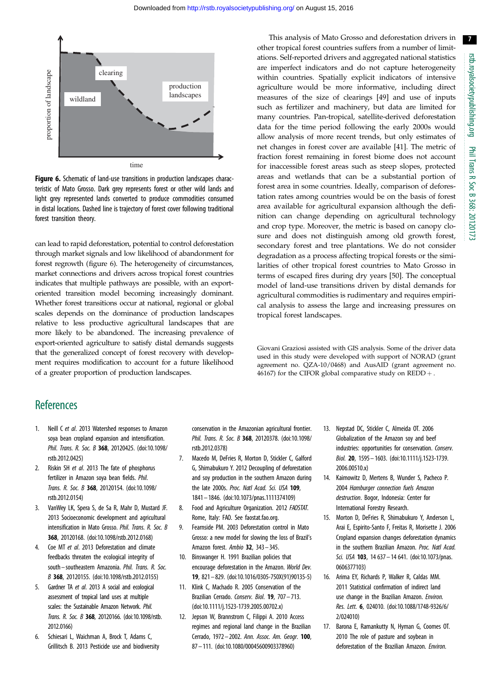<span id="page-6-0"></span>

Figure 6. Schematic of land-use transitions in production landscapes characteristic of Mato Grosso. Dark grey represents forest or other wild lands and light grey represented lands converted to produce commodities consumed in distal locations. Dashed line is trajectory of forest cover following traditional forest transition theory.

can lead to rapid deforestation, potential to control deforestation through market signals and low likelihood of abandonment for forest regrowth (figure 6). The heterogeneity of circumstances, market connections and drivers across tropical forest countries indicates that multiple pathways are possible, with an exportoriented transition model becoming increasingly dominant. Whether forest transitions occur at national, regional or global scales depends on the dominance of production landscapes relative to less productive agricultural landscapes that are more likely to be abandoned. The increasing prevalence of export-oriented agriculture to satisfy distal demands suggests that the generalized concept of forest recovery with development requires modification to account for a future likelihood of a greater proportion of production landscapes.

This analysis of Mato Grosso and deforestation drivers in other tropical forest countries suffers from a number of limitations. Self-reported drivers and aggregated national statistics are imperfect indicators and do not capture heterogeneity within countries. Spatially explicit indicators of intensive agriculture would be more informative, including direct measures of the size of clearings [[49\]](#page-7-0) and use of inputs such as fertilizer and machinery, but data are limited for many countries. Pan-tropical, satellite-derived deforestation data for the time period following the early 2000s would allow analysis of more recent trends, but only estimates of net changes in forest cover are available [[41\]](#page-7-0). The metric of fraction forest remaining in forest biome does not account for inaccessible forest areas such as steep slopes, protected areas and wetlands that can be a substantial portion of forest area in some countries. Ideally, comparison of deforestation rates among countries would be on the basis of forest area available for agricultural expansion although the definition can change depending on agricultural technology and crop type. Moreover, the metric is based on canopy closure and does not distinguish among old growth forest, secondary forest and tree plantations. We do not consider degradation as a process affecting tropical forests or the similarities of other tropical forest countries to Mato Grosso in terms of escaped fires during dry years [\[50](#page-7-0)]. The conceptual model of land-use transitions driven by distal demands for agricultural commodities is rudimentary and requires empirical analysis to assess the large and increasing pressures on tropical forest landscapes.

Giovani Graziosi assisted with GIS analysis. Some of the driver data used in this study were developed with support of NORAD (grant agreement no. QZA-10/0468) and AusAID (grant agreement no. 46167) for the CIFOR global comparative study on  $REDD +$ .

## **References**

- 1. Neill C et al. 2013 Watershed responses to Amazon soya bean cropland expansion and intensification. Phil. Trans. R. Soc. B 368, 20120425. ([doi:10.1098/](http://dx.doi.org/10.1098/rstb.2012.0425) [rstb.2012.0425\)](http://dx.doi.org/10.1098/rstb.2012.0425)
- 2. Riskin SH et al. 2013 The fate of phosphorus fertilizer in Amazon soya bean fields. Phil. Trans. R. Soc. B 368, 20120154. [\(doi:10.1098/](http://dx.doi.org/10.1098/rstb.2012.0154) [rstb.2012.0154\)](http://dx.doi.org/10.1098/rstb.2012.0154)
- 3. VanWey LK, Spera S, de Sa R, Mahr D, Mustard JF. 2013 Socioeconomic development and agricultural intensification in Mato Grosso. Phil. Trans. R. Soc. B 368, 20120168. ([doi:10.1098/rstb.2012.0168](http://dx.doi.org/10.1098/rstb.2012.0168))
- 4. Coe MT et al. 2013 Deforestation and climate feedbacks threaten the ecological integrity of south–southeastern Amazonia. Phil. Trans. R. Soc. B 368, 20120155. ([doi:10.1098/rstb.2012.0155\)](http://dx.doi.org/10.1098/rstb.2012.0155)
- 5. Gardner TA et al. 2013 A social and ecological assessment of tropical land uses at multiple scales: the Sustainable Amazon Network. Phil. Trans. R. Soc. B 368, 20120166. ([doi:10.1098/rstb.](http://dx.doi.org/10.1098/rstb.2012.0166) [2012.0166\)](http://dx.doi.org/10.1098/rstb.2012.0166)
- 6. Schiesari L, Waichman A, Brock T, Adams C, Grillitsch B. 2013 Pesticide use and biodiversity

conservation in the Amazonian agricultural frontier. Phil. Trans. R. Soc. B 368, 20120378. [\(doi:10.1098/](http://dx.doi.org/10.1098/rstb.2012.0378) [rstb.2012.0378\)](http://dx.doi.org/10.1098/rstb.2012.0378)

- 7. Macedo M, DeFries R, Morton D, Stickler C, Galford G, Shimabukuro Y. 2012 Decoupling of deforestation and soy production in the southern Amazon during the late 2000s. Proc. Natl Acad. Sci. USA 109, 1841– 1846. [\(doi:10.1073/pnas.1111374109\)](http://dx.doi.org/10.1073/pnas.1111374109)
- 8. Food and Agriculture Organization. 2012 FAOSTAT. Rome, Italy: FAO. See [faostat.fao.org.](faostat.fao.org)
- 9. Fearnside PM. 2003 Deforestation control in Mato Grosso: a new model for slowing the loss of Brazil's Amazon forest. Ambio 32, 343– 345.
- 10. Binswanger H. 1991 Brazilian policies that encourage deforestation in the Amazon. World Dev. 19, 821– 829. ([doi:10.1016/0305-750X\(91\)90135-5\)](http://dx.doi.org/10.1016/0305-750X(91)90135-5)
- 11. Klink C, Machado R. 2005 Conservation of the Brazilian Cerrado. Conserv. Biol. 19, 707– 713. [\(doi:10.1111/j.1523-1739.2005.00702.x\)](http://dx.doi.org/10.1111/j.1523-1739.2005.00702.x)
- 12. Jepson W, Brannstrom C, Filippi A. 2010 Access regimes and regional land change in the Brazilian Cerrado, 1972 – 2002. Ann. Assoc. Am. Geogr. 100, 87 – 111. ([doi:10.1080/00045600903378960\)](http://dx.doi.org/10.1080/00045600903378960)
- 13. Nepstad DC, Stickler C, Almeida OT. 2006 Globalization of the Amazon soy and beef industries: opportunities for conservation. Conserv. Biol. 20, 1595– 1603. ([doi:10.1111/j.1523-1739.](http://dx.doi.org/10.1111/j.1523-1739.2006.00510.x) [2006.00510.x](http://dx.doi.org/10.1111/j.1523-1739.2006.00510.x))
- 14. Kaimowitz D, Mertens B, Wunder S, Pacheco P. 2004 Hamburger connection fuels Amazon destruction. Bogor, Indonesia: Center for International Forestry Research.
- 15. Morton D, DeFries R, Shimabukuro Y, Anderson L, Arai E, Espirito-Santo F, Freitas R, Morisette J. 2006 Cropland expansion changes deforestation dynamics in the southern Brazilian Amazon. Proc. Natl Acad. Sci. USA 103, 14 637 - 14 641. ([doi:10.1073/pnas.](http://dx.doi.org/10.1073/pnas.0606377103) [0606377103](http://dx.doi.org/10.1073/pnas.0606377103))
- 16. Arima EY, Richards P, Walker R, Caldas MM. 2011 Statistical confirmation of indirect land use change in the Brazilian Amazon. Environ. Res. Lett. 6, 024010. ([doi:10.1088/1748-9326/6/](http://dx.doi.org/10.1088/1748-9326/6/2/024010) [2/024010\)](http://dx.doi.org/10.1088/1748-9326/6/2/024010)
- 17. Barona E, Ramankutty N, Hyman G, Coomes OT. 2010 The role of pasture and soybean in deforestation of the Brazilian Amazon. Environ.